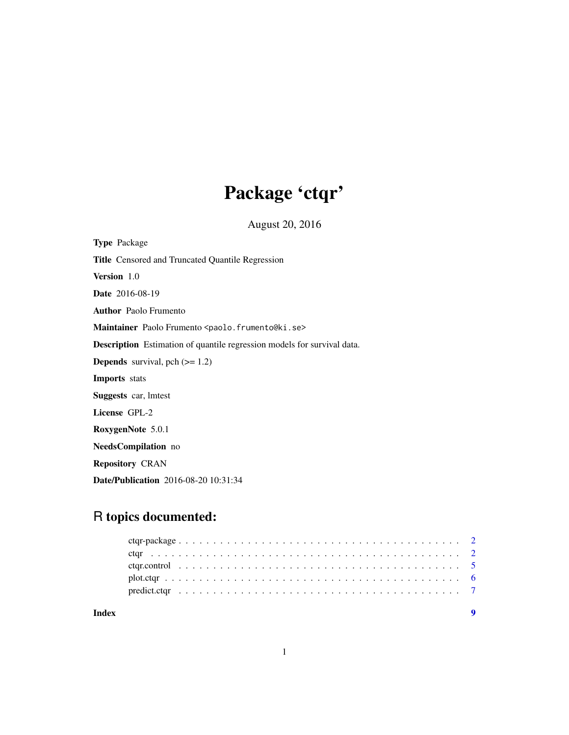# Package 'ctqr'

August 20, 2016

<span id="page-0-0"></span>Type Package Title Censored and Truncated Quantile Regression Version 1.0 Date 2016-08-19 Author Paolo Frumento Maintainer Paolo Frumento <paolo.frumento@ki.se> Description Estimation of quantile regression models for survival data. **Depends** survival, pch  $(>= 1.2)$ Imports stats Suggests car, lmtest License GPL-2 RoxygenNote 5.0.1 NeedsCompilation no Repository CRAN Date/Publication 2016-08-20 10:31:34

# R topics documented:

| Index |  |  |  |  |  |  |  |  |  |  |  |  |  |  |  |  |  |  |  |
|-------|--|--|--|--|--|--|--|--|--|--|--|--|--|--|--|--|--|--|--|
|       |  |  |  |  |  |  |  |  |  |  |  |  |  |  |  |  |  |  |  |
|       |  |  |  |  |  |  |  |  |  |  |  |  |  |  |  |  |  |  |  |
|       |  |  |  |  |  |  |  |  |  |  |  |  |  |  |  |  |  |  |  |
|       |  |  |  |  |  |  |  |  |  |  |  |  |  |  |  |  |  |  |  |
|       |  |  |  |  |  |  |  |  |  |  |  |  |  |  |  |  |  |  |  |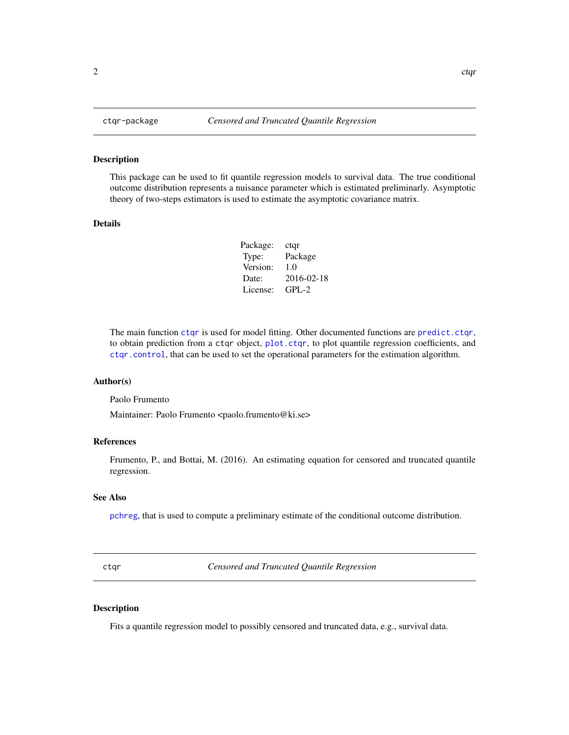#### Description

This package can be used to fit quantile regression models to survival data. The true conditional outcome distribution represents a nuisance parameter which is estimated preliminarly. Asymptotic theory of two-steps estimators is used to estimate the asymptotic covariance matrix.

#### Details

| Package: | ctqr       |
|----------|------------|
| Type:    | Package    |
| Version: | 1.0        |
| Date:    | 2016-02-18 |
| License: | $GPI - 2$  |

The main function [ctqr](#page-1-1) is used for model fitting. Other documented functions are [predict.ctqr](#page-6-1), to obtain prediction from a ctqr object, [plot.ctqr](#page-5-1), to plot quantile regression coefficients, and [ctqr.control](#page-4-1), that can be used to set the operational parameters for the estimation algorithm.

#### Author(s)

Paolo Frumento

Maintainer: Paolo Frumento <paolo.frumento@ki.se>

# References

Frumento, P., and Bottai, M. (2016). An estimating equation for censored and truncated quantile regression.

#### See Also

[pchreg](#page-0-0), that is used to compute a preliminary estimate of the conditional outcome distribution.

<span id="page-1-1"></span>ctqr *Censored and Truncated Quantile Regression*

# Description

Fits a quantile regression model to possibly censored and truncated data, e.g., survival data.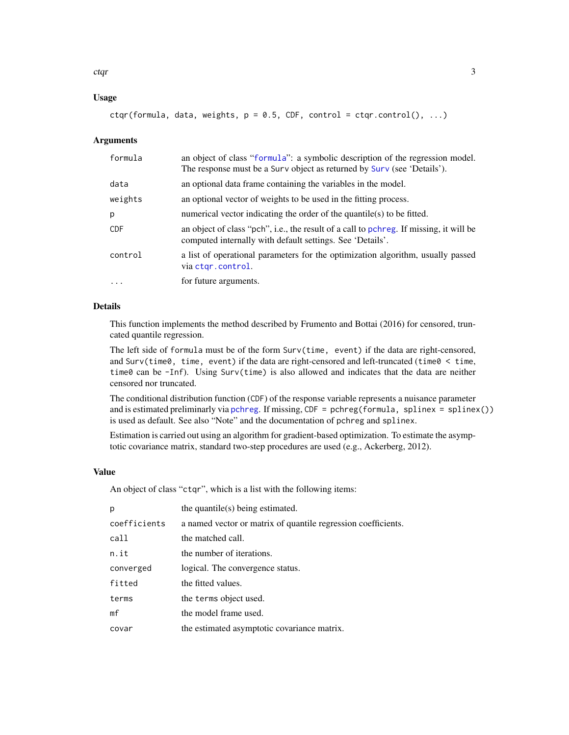<span id="page-2-0"></span>ctqr 3

# Usage

 $ctqr(formula, data, weights, p = 0.5, CDF, control = ctqr.contrib(), ...)$ 

#### Arguments

| formula    | an object of class "formula": a symbolic description of the regression model.<br>The response must be a Surv object as returned by Surv (see 'Details'). |
|------------|----------------------------------------------------------------------------------------------------------------------------------------------------------|
| data       | an optional data frame containing the variables in the model.                                                                                            |
| weights    | an optional vector of weights to be used in the fitting process.                                                                                         |
| p          | numerical vector indicating the order of the quantile(s) to be fitted.                                                                                   |
| <b>CDF</b> | an object of class "pch", i.e., the result of a call to pchreg. If missing, it will be<br>computed internally with default settings. See 'Details'.      |
| control    | a list of operational parameters for the optimization algorithm, usually passed<br>via ctgr.control.                                                     |
| .          | for future arguments.                                                                                                                                    |

# Details

This function implements the method described by Frumento and Bottai (2016) for censored, truncated quantile regression.

The left side of formula must be of the form Surv(time, event) if the data are right-censored, and Surv(time0, time, event) if the data are right-censored and left-truncated (time0  $\lt$  time, time0 can be -Inf). Using Surv(time) is also allowed and indicates that the data are neither censored nor truncated.

The conditional distribution function (CDF) of the response variable represents a nuisance parameter and is estimated preliminarly via [pchreg](#page-0-0). If missing, CDF = pchreg(formula, splinex = splinex()) is used as default. See also "Note" and the documentation of pchreg and splinex.

Estimation is carried out using an algorithm for gradient-based optimization. To estimate the asymptotic covariance matrix, standard two-step procedures are used (e.g., Ackerberg, 2012).

#### Value

An object of class "ctqr", which is a list with the following items:

| p              | the quantile(s) being estimated.                              |
|----------------|---------------------------------------------------------------|
| coefficients   | a named vector or matrix of quantile regression coefficients. |
| call           | the matched call.                                             |
| n.it           | the number of iterations.                                     |
| converged      | logical. The convergence status.                              |
| fitted         | the fitted values.                                            |
| terms          | the terms object used.                                        |
| m <sub>f</sub> | the model frame used.                                         |
| covar          | the estimated asymptotic covariance matrix.                   |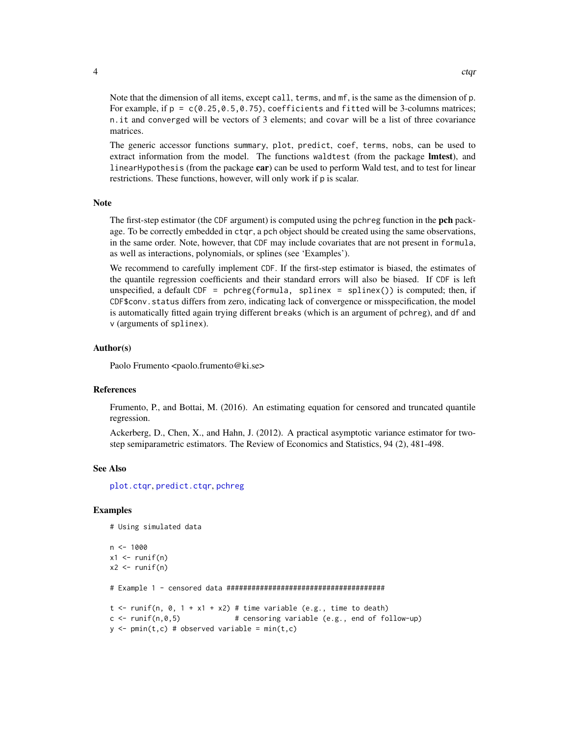<span id="page-3-0"></span>Note that the dimension of all items, except call, terms, and mf, is the same as the dimension of p. For example, if  $p = c(0.25, 0.5, 0.75)$ , coefficients and fitted will be 3-columns matrices; n.it and converged will be vectors of 3 elements; and covar will be a list of three covariance matrices.

The generic accessor functions summary, plot, predict, coef, terms, nobs, can be used to extract information from the model. The functions waldtest (from the package **lmtest**), and linearHypothesis (from the package car) can be used to perform Wald test, and to test for linear restrictions. These functions, however, will only work if p is scalar.

#### Note

The first-step estimator (the CDF argument) is computed using the pchreg function in the **pch** package. To be correctly embedded in ctqr, a pch object should be created using the same observations, in the same order. Note, however, that CDF may include covariates that are not present in formula, as well as interactions, polynomials, or splines (see 'Examples').

We recommend to carefully implement CDF. If the first-step estimator is biased, the estimates of the quantile regression coefficients and their standard errors will also be biased. If CDF is left unspecified, a default  $CDF = pchreg(formula, split) = splinex())$  is computed; then, if CDF\$conv.status differs from zero, indicating lack of convergence or misspecification, the model is automatically fitted again trying different breaks (which is an argument of pchreg), and df and v (arguments of splinex).

#### Author(s)

Paolo Frumento <paolo.frumento@ki.se>

#### References

Frumento, P., and Bottai, M. (2016). An estimating equation for censored and truncated quantile regression.

Ackerberg, D., Chen, X., and Hahn, J. (2012). A practical asymptotic variance estimator for twostep semiparametric estimators. The Review of Economics and Statistics, 94 (2), 481-498.

#### See Also

[plot.ctqr](#page-5-1), [predict.ctqr](#page-6-1), [pchreg](#page-0-0)

#### Examples

# Using simulated data

```
n < -1000x1 \leftarrow runif(n)x2 \leftarrow runif(n)# Example 1 - censored data ######################################
t <- runif(n, 0, 1 + x1 + x2) # time variable (e.g., time to death)
c \leftarrow runif(n, 0, 5) # censoring variable (e.g., end of follow-up)
y \le - \text{pmin}(t, c) # observed variable = \text{min}(t, c)
```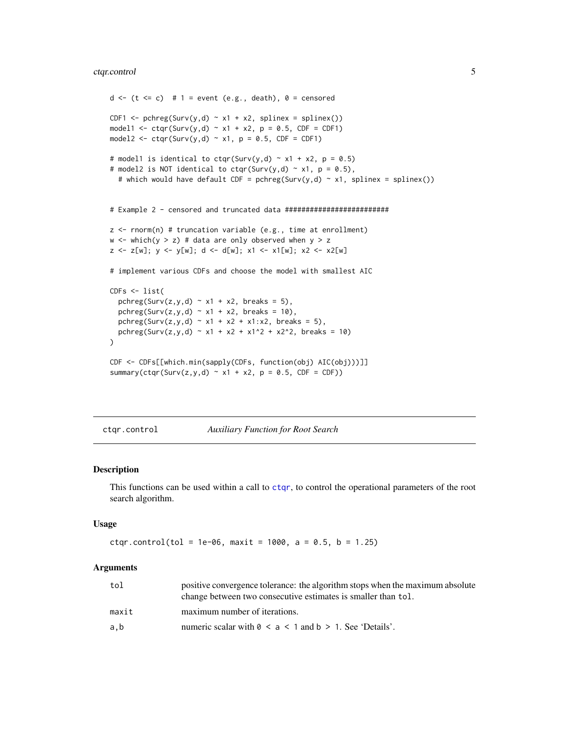# <span id="page-4-0"></span>ctqr.control 5

```
d \leq (t \leq c) # 1 = event (e.g., death), 0 = censored
CDF1 <- pchreg(Surv(y,d) \sim x1 + x2, splinex = splinex())
model1 <- ctqr(Surv(y,d) ~ x1 + x2, p = 0.5, CDF = CDF1)
model2 <- ctqr(Surv(y,d) ~ x1, p = 0.5, CDF = CDF1)
# model1 is identical to ctqr(Surv(y,d) \sim x1 + x2, p = 0.5)
# model2 is NOT identical to ctqr(Surv(y,d) \sim x1, p = 0.5),
  # which would have default CDF = pchreg(Surv(y,d) ~ x1, splinex = splinex())
# Example 2 - censored and truncated data #########################
z \le rnorm(n) # truncation variable (e.g., time at enrollment)
w \le - which(y > z) # data are only observed when y > zz \le z[w]; y \le y [w]; d \le d[w]; x1 \le x1[w]; x2 \le x2[w]
# implement various CDFs and choose the model with smallest AIC
CDFs < - list(
  pchreg(Surv(z,y,d) ~ x1 + x2, breaks = 5),
  pchreg(Surv(z,y,d) ~ x1 + x2, breaks = 10),
  pchreg(Surv(z,y,d) ~ x1 + x2 + x1:x2, breaks = 5),
  pchreg(Surv(z,y,d) ~ x1 + x2 + x1^2 + x2^2, breaks = 10)
\mathcal{L}CDF <- CDFs[[which.min(sapply(CDFs, function(obj) AIC(obj)))]]
summary(ctqr(Surv(z,y,d) ~ x1 + x2, p = 0.5, CDF = CDF))
```
<span id="page-4-1"></span>ctqr.control *Auxiliary Function for Root Search*

#### Description

This functions can be used within a call to [ctqr](#page-1-1), to control the operational parameters of the root search algorithm.

#### Usage

```
ctqr.control(tol = 1e-06, maxit = 1000, a = 0.5, b = 1.25)
```
#### Arguments

| tol   | positive convergence tolerance: the algorithm stops when the maximum absolute<br>change between two consecutive estimates is smaller than tol. |
|-------|------------------------------------------------------------------------------------------------------------------------------------------------|
| maxit | maximum number of iterations.                                                                                                                  |
| a.b   | numeric scalar with $0 \le a \le 1$ and $b > 1$ . See 'Details'.                                                                               |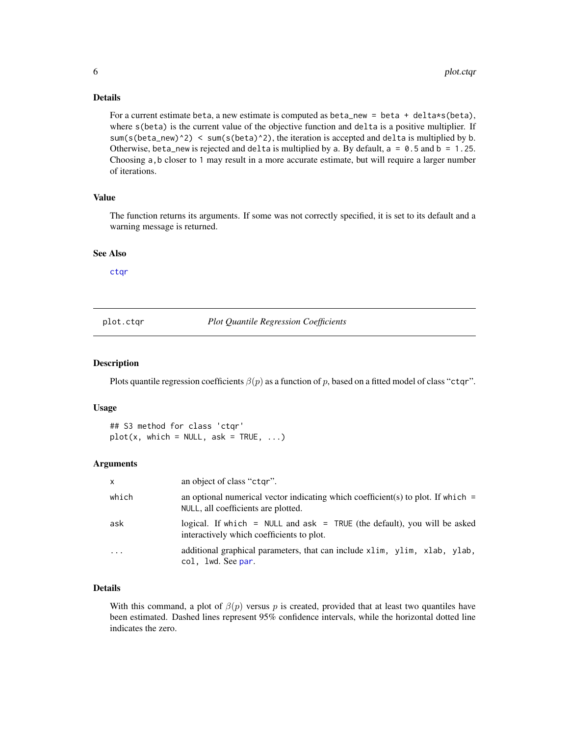# <span id="page-5-0"></span>Details

For a current estimate beta, a new estimate is computed as beta\_new = beta + delta\*s(beta), where  $s(beta)$  is the current value of the objective function and delta is a positive multiplier. If sum(s(beta\_new)^2) < sum(s(beta)^2), the iteration is accepted and delta is multiplied by b. Otherwise, beta\_new is rejected and delta is multiplied by a. By default,  $a = 0.5$  and  $b = 1.25$ . Choosing a,b closer to 1 may result in a more accurate estimate, but will require a larger number of iterations.

# Value

The function returns its arguments. If some was not correctly specified, it is set to its default and a warning message is returned.

#### See Also

[ctqr](#page-1-1)

<span id="page-5-1"></span>plot.ctqr *Plot Quantile Regression Coefficients*

#### Description

Plots quantile regression coefficients  $\beta(p)$  as a function of p, based on a fitted model of class "ctqr".

#### Usage

## S3 method for class 'ctqr'  $plot(x, which = NULL, ask = TRUE, ...)$ 

#### Arguments

| $\mathsf{x}$ | an object of class "ctgr".                                                                                                |
|--------------|---------------------------------------------------------------------------------------------------------------------------|
| which        | an optional numerical vector indicating which coefficient(s) to plot. If which $=$<br>NULL, all coefficients are plotted. |
| ask          | logical. If which = NULL and $ask$ = TRUE (the default), you will be asked<br>interactively which coefficients to plot.   |
| $\cdots$     | additional graphical parameters, that can include x1im, y1im, x1ab, y1ab,<br>col, 1wd. See par.                           |

# Details

With this command, a plot of  $\beta(p)$  versus p is created, provided that at least two quantiles have been estimated. Dashed lines represent 95% confidence intervals, while the horizontal dotted line indicates the zero.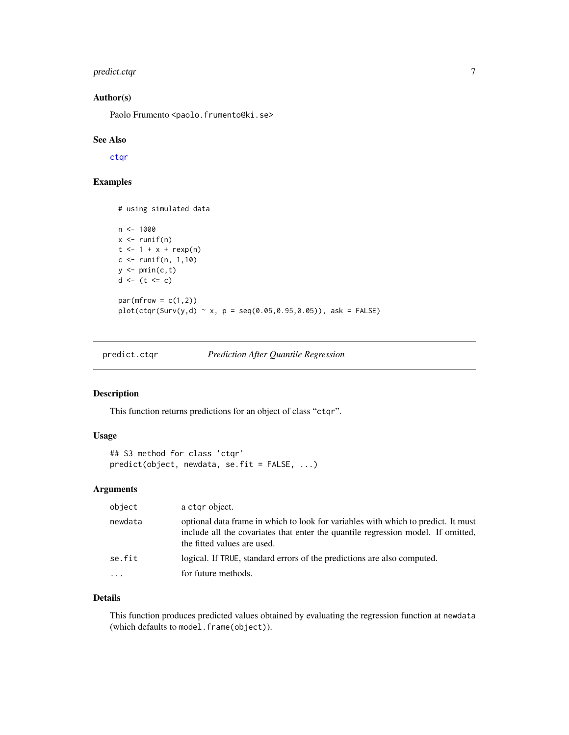# <span id="page-6-0"></span>predict.ctqr 7

# Author(s)

Paolo Frumento <paolo.frumento@ki.se>

#### See Also

[ctqr](#page-1-1)

# Examples

# using simulated data

```
n < - 1000x \leftarrow runif(n)t < -1 + x + r \exp(n)c <- runif(n, 1,10)
y \leftarrow \text{pmin}(c, t)d <- (t <= c)
par(mfrow = c(1,2))plot(ctar(Surv(y, d) ~ x, p = seq(0.05, 0.95, 0.05)), ask = FALSE)
```
<span id="page-6-1"></span>predict.ctqr *Prediction After Quantile Regression*

# Description

This function returns predictions for an object of class "ctqr".

#### Usage

```
## S3 method for class 'ctqr'
predict(object, newdata, se.fit = FALSE, ...)
```
## Arguments

| object                  | a ctgr object.                                                                                                                                                                                       |
|-------------------------|------------------------------------------------------------------------------------------------------------------------------------------------------------------------------------------------------|
| newdata                 | optional data frame in which to look for variables with which to predict. It must<br>include all the covariates that enter the quantile regression model. If omitted,<br>the fitted values are used. |
| se.fit                  | logical. If TRUE, standard errors of the predictions are also computed.                                                                                                                              |
| $\cdot$ $\cdot$ $\cdot$ | for future methods.                                                                                                                                                                                  |

#### Details

This function produces predicted values obtained by evaluating the regression function at newdata (which defaults to model.frame(object)).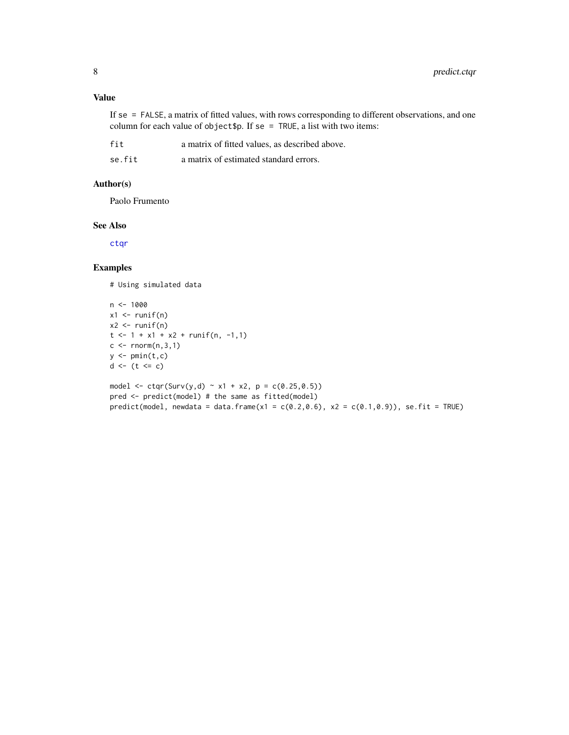<span id="page-7-0"></span>If se = FALSE, a matrix of fitted values, with rows corresponding to different observations, and one column for each value of object\$p. If se = TRUE, a list with two items:

se. fit a matrix of estimated standard errors.

#### Author(s)

Paolo Frumento

# See Also

[ctqr](#page-1-1)

# Examples

# Using simulated data

```
n <- 1000
x1 \leftarrow runif(n)x2 \leftarrow runif(n)t \le -1 + x1 + x2 + runif(n, -1, 1)c \leq -rnorm(n,3,1)y \leftarrow \text{pmin}(t, c)d \leftarrow (t \leq c)model <- ctqr(Surv(y,d) ~ x1 + x2, p = c(0.25,0.5))
pred <- predict(model) # the same as fitted(model)
```
predict(model, newdata = data.frame(x1 =  $c(0.2, 0.6)$ , x2 =  $c(0.1, 0.9)$ ), se.fit = TRUE)